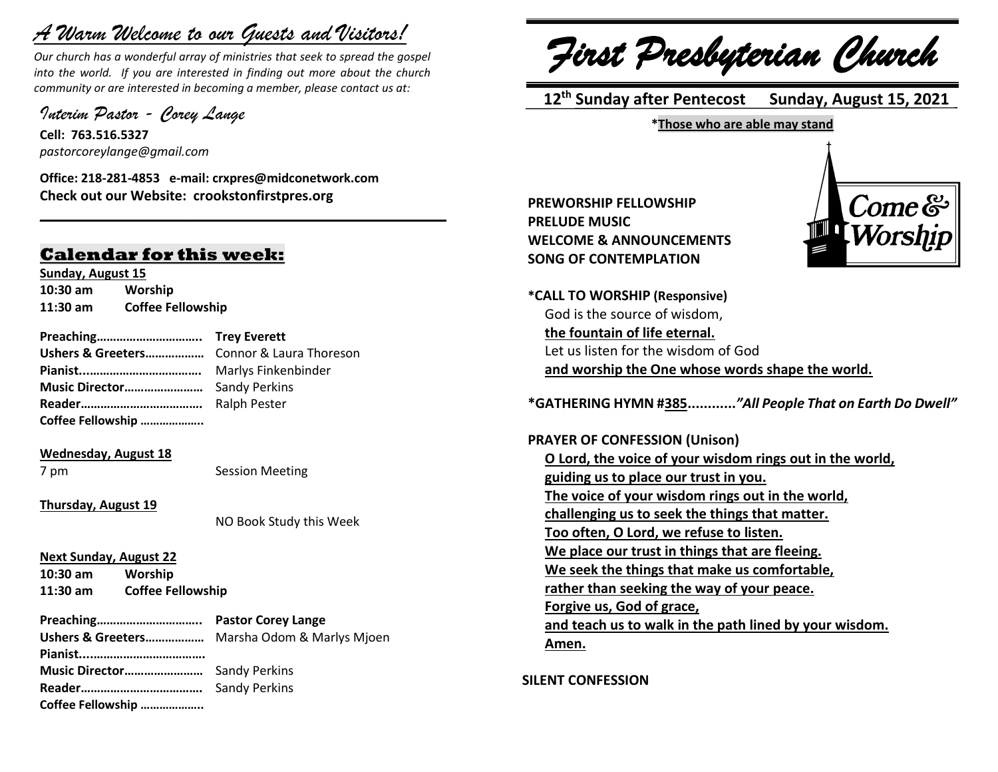## *A Warm Welcome to our Guests and Visitors!*

*Our church has a wonderful array of ministries that seek to spread the gospel into the world. If you are interested in finding out more about the church community or are interested in becoming a member, please contact us at:*

**\_\_\_\_\_\_\_\_\_\_\_\_\_\_\_\_\_\_\_\_\_\_\_\_\_\_\_\_\_\_\_\_\_\_\_\_\_\_\_\_\_\_\_\_\_\_\_\_\_\_\_\_\_\_**

*Interim Pastor - Corey Lange* 

**Cell: 763.516.5327** *pastorcoreylange@gmail.com*

**Office: 218-281-4853 e-mail: crxpres@midconetwork.com Check out our Website: crookstonfirstpres.org**

### **Calendar for this week:**

**Sunday, August 15 10:30 am Worship 11:30 am Coffee Fellowship**

**Preaching………………………….. Trey Everett Ushers & Greeters………………** Connor & Laura Thoreson

**Pianist...…………………………….** Marlys Finkenbinder **Music Director……………………** Sandy Perkins **Reader……………………………….** Ralph Pester

**Coffee Fellowship ………………..**

**Wednesday, August 18**

7 pm Session Meeting

**Thursday, August 19**

NO Book Study this Week

**Next Sunday, August 22**

**10:30 am Worship 11:30 am Coffee Fellowship**

|                   | Ushers & Greeters Marsha Odom & Marlys Mjoen |
|-------------------|----------------------------------------------|
|                   |                                              |
|                   |                                              |
|                   |                                              |
| Coffee Fellowship |                                              |

*First Presbyterian Church*

 **12 th Sunday after Pentecost Sunday, August 15, 2021**

**\*Those who are able may stand**

**PREWORSHIP FELLOWSHIP PRELUDE MUSIC WELCOME & ANNOUNCEMENTS SONG OF CONTEMPLATION**



**\*CALL TO WORSHIP (Responsive)** God is the source of wisdom, **the fountain of life eternal.** Let us listen for the wisdom of God **and worship the One whose words shape the world.**

**\*GATHERING HYMN #385............***"All People That on Earth Do Dwell"*

**PRAYER OF CONFESSION (Unison) O Lord, the voice of your wisdom rings out in the world, guiding us to place our trust in you. The voice of your wisdom rings out in the world, challenging us to seek the things that matter. Too often, O Lord, we refuse to listen. We place our trust in things that are fleeing. We seek the things that make us comfortable, rather than seeking the way of your peace. Forgive us, God of grace, and teach us to walk in the path lined by your wisdom. Amen.**

**SILENT CONFESSION**